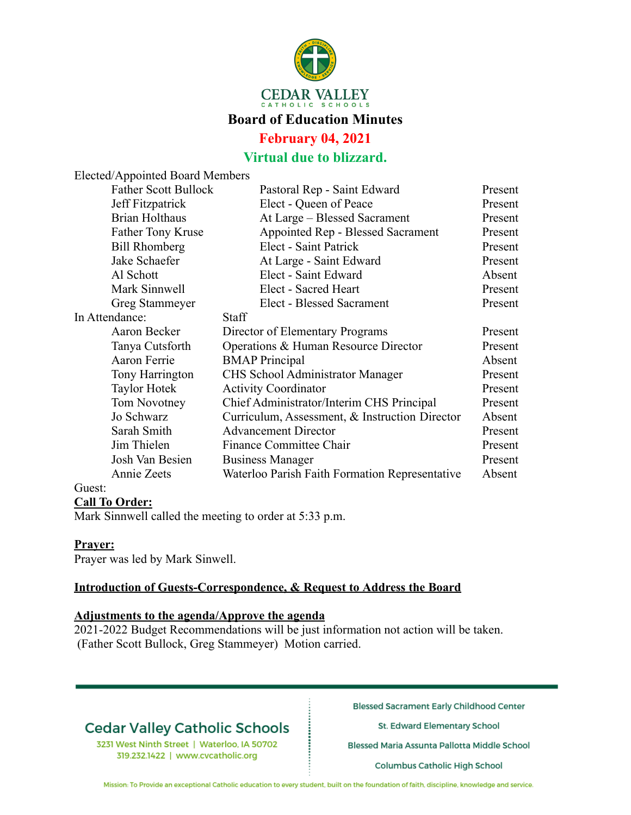

### **Board of Education Minutes**

### **February 04, 2021**

## **Virtual due to blizzard.**

|                | Elected/Appointed Board Members |                                                |         |
|----------------|---------------------------------|------------------------------------------------|---------|
|                | <b>Father Scott Bullock</b>     | Pastoral Rep - Saint Edward                    | Present |
|                | Jeff Fitzpatrick                | Elect - Queen of Peace                         | Present |
|                | <b>Brian Holthaus</b>           | At Large - Blessed Sacrament                   | Present |
|                | <b>Father Tony Kruse</b>        | Appointed Rep - Blessed Sacrament              | Present |
|                | <b>Bill Rhomberg</b>            | Elect - Saint Patrick                          | Present |
|                | Jake Schaefer                   | At Large - Saint Edward                        | Present |
|                | Al Schott                       | Elect - Saint Edward                           | Absent  |
|                | Mark Sinnwell                   | Elect - Sacred Heart                           | Present |
|                | Greg Stammeyer                  | Elect - Blessed Sacrament                      | Present |
| In Attendance: |                                 | <b>Staff</b>                                   |         |
|                | Aaron Becker                    | Director of Elementary Programs                | Present |
|                | Tanya Cutsforth                 | Operations & Human Resource Director           | Present |
|                | Aaron Ferrie                    | <b>BMAP</b> Principal                          | Absent  |
|                | Tony Harrington                 | <b>CHS</b> School Administrator Manager        | Present |
|                | <b>Taylor Hotek</b>             | <b>Activity Coordinator</b>                    | Present |
|                | Tom Novotney                    | Chief Administrator/Interim CHS Principal      | Present |
|                | Jo Schwarz                      | Curriculum, Assessment, & Instruction Director | Absent  |
|                | Sarah Smith                     | <b>Advancement Director</b>                    | Present |
|                | Jim Thielen                     | <b>Finance Committee Chair</b>                 | Present |
|                | Josh Van Besien                 | <b>Business Manager</b>                        | Present |
|                | Annie Zeets                     | Waterloo Parish Faith Formation Representative | Absent  |
| Guest:         |                                 |                                                |         |

### **Call To Order:**

Mark Sinnwell called the meeting to order at 5:33 p.m.

#### **Prayer:**

Prayer was led by Mark Sinwell.

#### **Introduction of Guests-Correspondence, & Request to Address the Board**

### **Adjustments to the agenda/Approve the agenda**

2021-2022 Budget Recommendations will be just information not action will be taken. (Father Scott Bullock, Greg Stammeyer) Motion carried.

# **Cedar Valley Catholic Schools**

3231 West Ninth Street | Waterloo, IA 50702 319.232.1422 | www.cvcatholic.org

**Blessed Sacrament Early Childhood Center** 

St. Edward Elementary School

Blessed Maria Assunta Pallotta Middle School

**Columbus Catholic High School** 

Mission: To Provide an exceptional Catholic education to every student, built on the foundation of faith, discipline, knowledge and service.